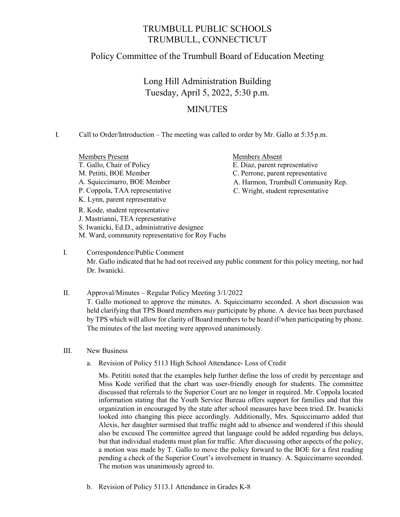## TRUMBULL PUBLIC SCHOOLS TRUMBULL, CONNECTICUT

## Policy Committee of the Trumbull Board of Education Meeting

Long Hill Administration Building Tuesday, April 5, 2022, 5:30 p.m.

## **MINUTES**

I. Call to Order/Introduction – The meeting was called to order by Mr. Gallo at 5:35 p.m.

Members Present Members Absent T. Gallo, Chair of Policy E. Diaz, parent representative M. Petitti, BOE Member C. Perrone, parent representative A. Squiccimarro, BOE Member **A. Harmon, Trumbull Community Rep.** P. Coppola, TAA representative C. Wright, student representative K. Lynn, parent representative R. Kode, student representative J. Mastrianni, TEA representative S. Iwanicki, Ed.D., administrative designee

M. Ward, community representative for Roy Fuchs I. Correspondence/Public Comment Mr. Gallo indicated that he had not received any public comment for this policy meeting, nor had

- II. Approval/Minutes Regular Policy Meeting 3/1/2022 T. Gallo motioned to approve the minutes. A. Squiccimarro seconded. A short discussion was held clarifying that TPS Board members *may* participate by phone. A device has been purchased by TPS which will allow for clarity of Board members to be heard if/when participating by phone. The minutes of the last meeting were approved unanimously.
- III. New Business

Dr. Iwanicki.

a. Revision of Policy 5113 High School Attendance- Loss of Credit

Ms. Petititi noted that the examples help further define the loss of credit by percentage and Miss Kode verified that the chart was user-friendly enough for students. The committee discussed that referrals to the Superior Court are no longer in required. Mr. Coppola located information stating that the Youth Service Bureau offers support for families and that this organization in encouraged by the state after school measures have been tried. Dr. Iwanicki looked into changing this piece accordingly. Additionally, Mrs. Squiccimarro added that Alexis, her daughter surmised that traffic might add to absence and wondered if this should also be excused The committee agreed that language could be added regarding bus delays, but that individual students must plan for traffic. After discussing other aspects of the policy, a motion was made by T. Gallo to move the policy forward to the BOE for a first reading pending a check of the Superior Court's involvement in truancy. A. Squiccimarro seconded. The motion was unanimously agreed to.

b. Revision of Policy 5113.1 Attendance in Grades K-8